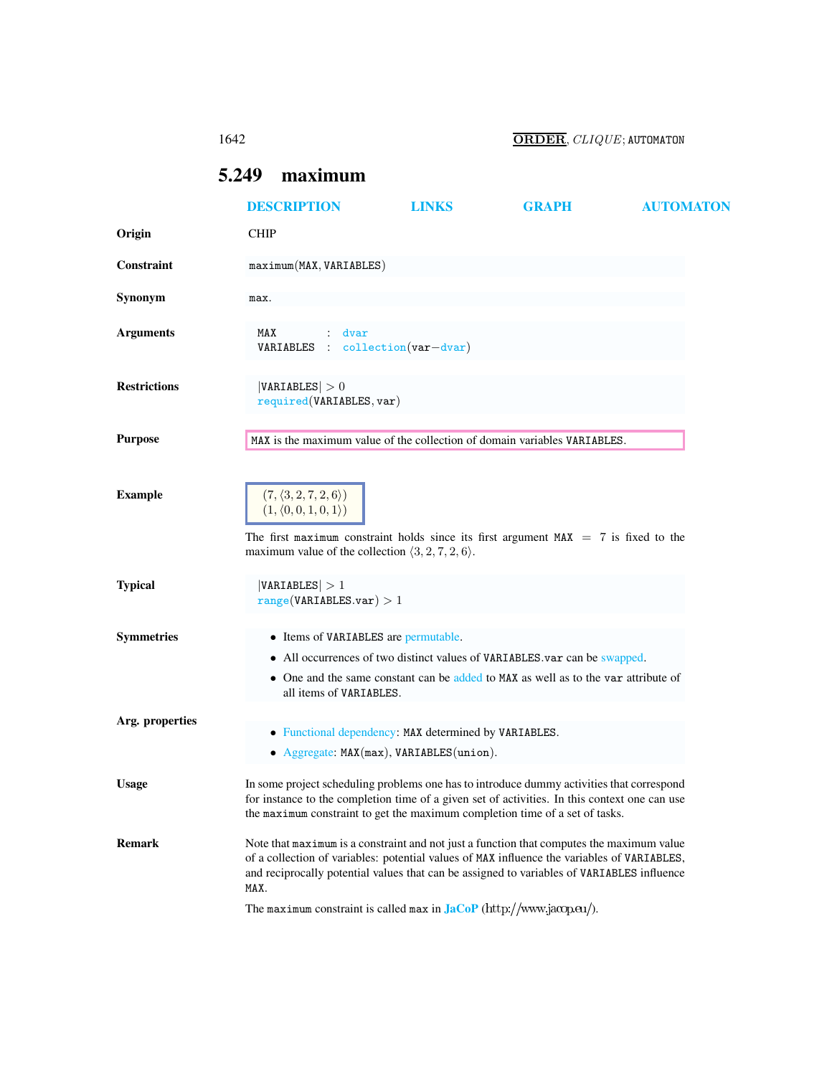1642 ORDER, CLIQUE; AUTOMATON

# <span id="page-0-0"></span>5.249 maximum

|                     | <b>DESCRIPTION</b>                                                                                                                                                                                                                                                                             | <b>LINKS</b>                                                                                      | <b>GRAPH</b>                                                                                                                                                    | <b>AUTOMATON</b> |
|---------------------|------------------------------------------------------------------------------------------------------------------------------------------------------------------------------------------------------------------------------------------------------------------------------------------------|---------------------------------------------------------------------------------------------------|-----------------------------------------------------------------------------------------------------------------------------------------------------------------|------------------|
| Origin              | <b>CHIP</b>                                                                                                                                                                                                                                                                                    |                                                                                                   |                                                                                                                                                                 |                  |
| Constraint          | maximum(MAX, VARIABLES)                                                                                                                                                                                                                                                                        |                                                                                                   |                                                                                                                                                                 |                  |
| Synonym             | max.                                                                                                                                                                                                                                                                                           |                                                                                                   |                                                                                                                                                                 |                  |
| <b>Arguments</b>    | MAX<br>dvar<br>$VARIABLES : collection(var-dvar)$                                                                                                                                                                                                                                              |                                                                                                   |                                                                                                                                                                 |                  |
| <b>Restrictions</b> | VARIABLES  > 0<br>required(VARIABLES, var)                                                                                                                                                                                                                                                     |                                                                                                   |                                                                                                                                                                 |                  |
| <b>Purpose</b>      | MAX is the maximum value of the collection of domain variables VARIABLES.                                                                                                                                                                                                                      |                                                                                                   |                                                                                                                                                                 |                  |
| <b>Example</b>      | $(7,\langle 3,2,7,2,6\rangle)$<br>$(1, \langle 0, 0, 1, 0, 1 \rangle)$<br>The first maximum constraint holds since its first argument $MAX = 7$ is fixed to the                                                                                                                                |                                                                                                   |                                                                                                                                                                 |                  |
| <b>Typical</b>      | maximum value of the collection $\langle 3, 2, 7, 2, 6 \rangle$ .<br> VARIABLES  > 1<br>range(VARIABLES.var) > 1                                                                                                                                                                               |                                                                                                   |                                                                                                                                                                 |                  |
| <b>Symmetries</b>   | • Items of VARIABLES are permutable.<br>all items of VARIABLES.                                                                                                                                                                                                                                |                                                                                                   | • All occurrences of two distinct values of VARIABLES var can be swapped.<br>• One and the same constant can be added to MAX as well as to the var attribute of |                  |
| Arg. properties     |                                                                                                                                                                                                                                                                                                | • Functional dependency: MAX determined by VARIABLES.<br>• Aggregate: MAX(max), VARIABLES(union). |                                                                                                                                                                 |                  |
| <b>Usage</b>        | In some project scheduling problems one has to introduce dummy activities that correspond<br>for instance to the completion time of a given set of activities. In this context one can use<br>the maximum constraint to get the maximum completion time of a set of tasks.                     |                                                                                                   |                                                                                                                                                                 |                  |
| <b>Remark</b>       | Note that maximum is a constraint and not just a function that computes the maximum value<br>of a collection of variables: potential values of MAX influence the variables of VARIABLES,<br>and reciprocally potential values that can be assigned to variables of VARIABLES influence<br>MAX. |                                                                                                   |                                                                                                                                                                 |                  |
|                     | The maximum constraint is called max in $\text{Jac}_P(\text{http://www.jacop.eu/}).$                                                                                                                                                                                                           |                                                                                                   |                                                                                                                                                                 |                  |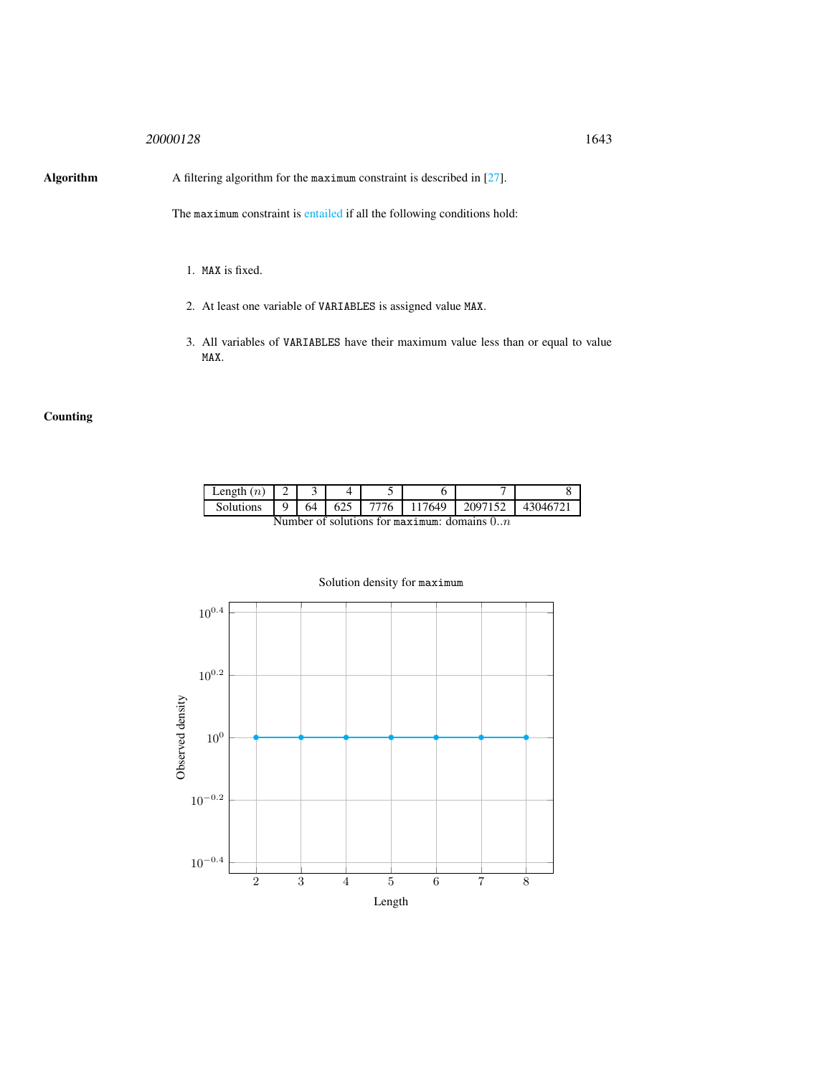## <sup>20000128</sup> 1643

Algorithm A filtering algorithm for the maximum constraint is described in [27].

The maximum constraint is entailed if all the following conditions hold:

- 1. MAX is fixed.
- 2. At least one variable of VARIABLES is assigned value MAX.
- 3. All variables of VARIABLES have their maximum value less than or equal to value MAX.

## **Counting**

| Length $(n)$                                     |  |    |  |      |        |         |         |
|--------------------------------------------------|--|----|--|------|--------|---------|---------|
| Solutions                                        |  | 64 |  | 7776 | 117649 | 2097152 | 4304672 |
| Number of solutions for mortimum: domains $0, n$ |  |    |  |      |        |         |         |

Number of solutions for maximum: domains  $0..n$ 



## Solution density for maximum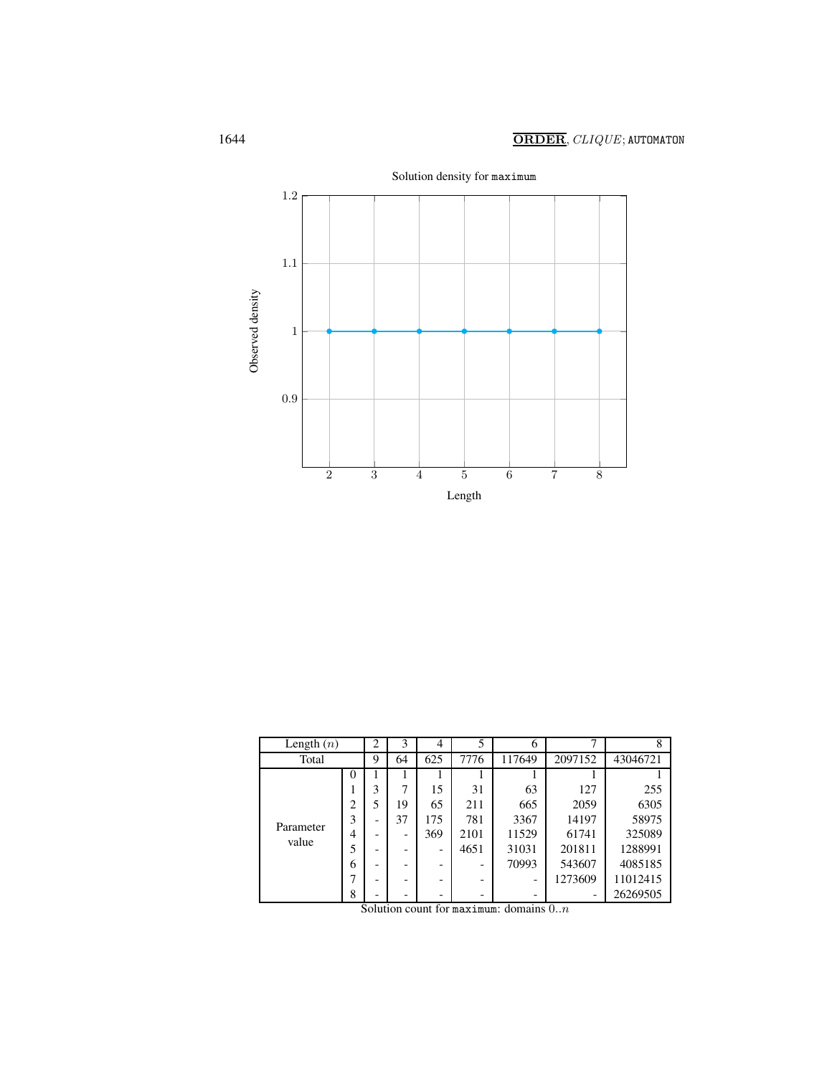

| Length $(n)$       |                | $\overline{2}$           | 3  | 4   | 5    | 6      |         |          |
|--------------------|----------------|--------------------------|----|-----|------|--------|---------|----------|
| Total              |                | 9                        | 64 | 625 | 7776 | 117649 | 2097152 | 43046721 |
|                    | $\Omega$       |                          |    |     |      |        |         |          |
|                    |                | 3                        | 7  | 15  | 31   | 63     | 127     | 255      |
|                    | $\overline{c}$ | 5                        | 19 | 65  | 211  | 665    | 2059    | 6305     |
| Parameter<br>value | 3              |                          | 37 | 175 | 781  | 3367   | 14197   | 58975    |
|                    | 4              |                          |    | 369 | 2101 | 11529  | 61741   | 325089   |
|                    | 5              | $\overline{\phantom{0}}$ |    | -   | 4651 | 31031  | 201811  | 1288991  |
|                    | 6              |                          |    |     |      | 70993  | 543607  | 4085185  |
|                    |                |                          |    |     |      |        | 1273609 | 11012415 |
|                    | 8              |                          |    |     |      | -      |         | 26269505 |

Solution count for maximum: domains  $0.n$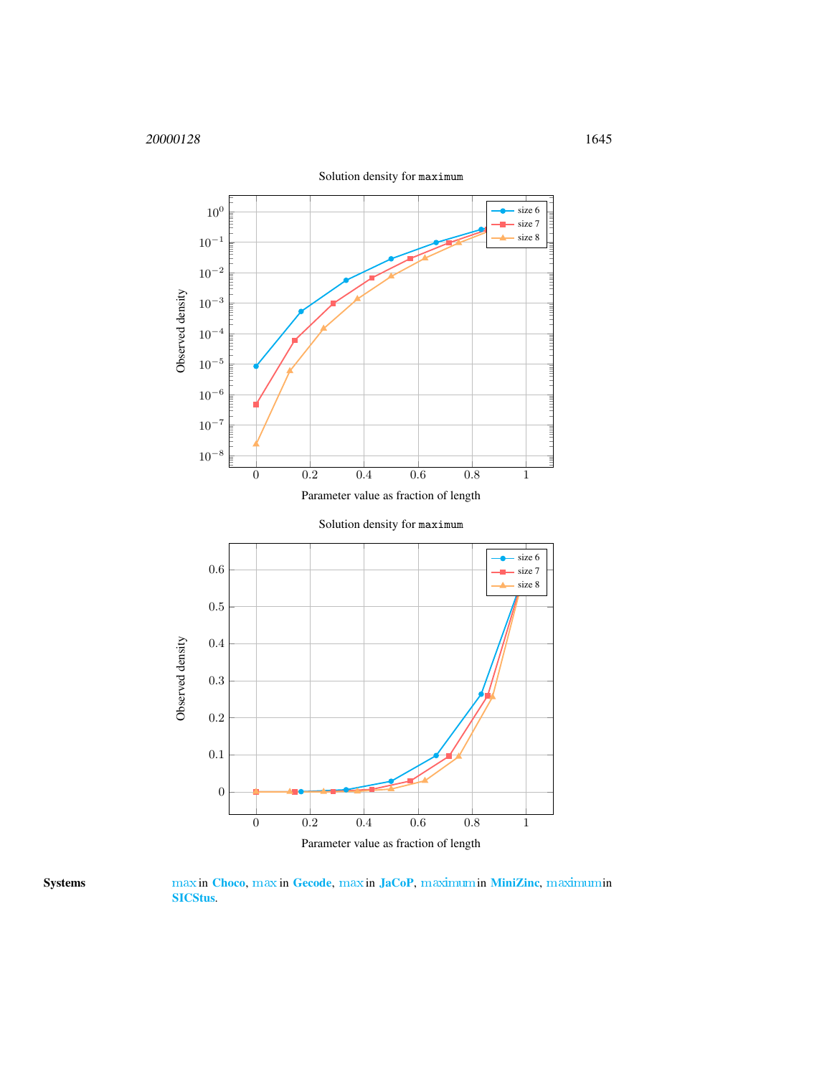



Systems [max](http://www.emn.fr/z-info/choco-solver/tex/documentation/choco-doc.pdf) in [Choco](http://choco.emn.fr/), [max](http://www.gecode.org/doc/3.7.0/reference/group__TaskModelIntArith.html) in [Gecode](http://www.gecode.org/), [max](http://jacopapi.osolpro.com/JaCoP/constraints/Max.html) in [JaCoP](http://www.jacop.eu/), [maximum](http://www.g12.cs.mu.oz.au/minizinc/downloads/doc-1.4/mzn-globals.html#maximum)in [MiniZinc](http://www.g12.cs.mu.oz.au/minizinc/), [maximum](http://www.sics.se/sicstus/docs/latest4/html/sicstus.html/Arithmetic-Constraints.html)in [SICStus](http://www.sics.se/sicstus/).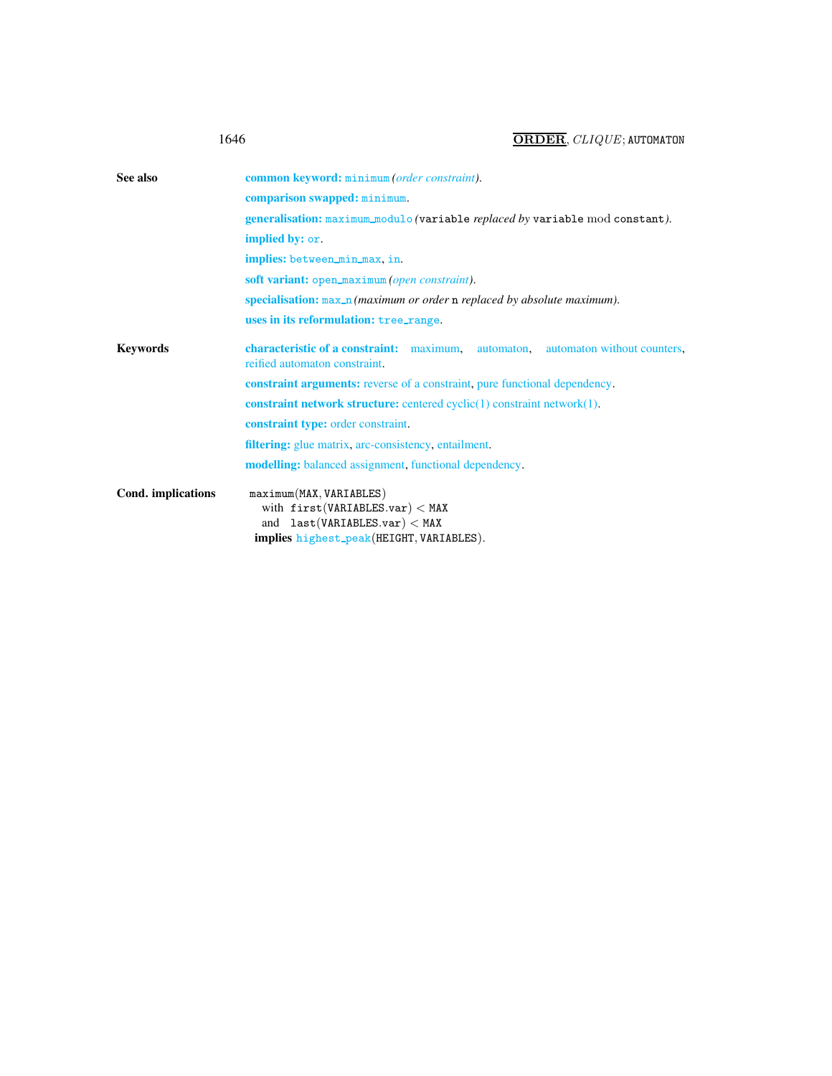| 1646 | ORDER, CLIQUE; AUTOMATON |
|------|--------------------------|
|      |                          |

<span id="page-4-0"></span>

| See also           | common keyword: minimum (order constraint).                                                                                                 |  |  |  |  |  |  |
|--------------------|---------------------------------------------------------------------------------------------------------------------------------------------|--|--|--|--|--|--|
|                    | comparison swapped: minimum.                                                                                                                |  |  |  |  |  |  |
|                    | generalisation: maximum_modulo (variable replaced by variable mod constant).                                                                |  |  |  |  |  |  |
|                    | implied by: or.                                                                                                                             |  |  |  |  |  |  |
|                    | implies: between_min_max, in.                                                                                                               |  |  |  |  |  |  |
|                    | soft variant: open_maximum (open constraint).                                                                                               |  |  |  |  |  |  |
|                    | specialisation: $max_n$ ( <i>maximum or order n replaced by absolute maximum</i> ).                                                         |  |  |  |  |  |  |
|                    | uses in its reformulation: tree_range.                                                                                                      |  |  |  |  |  |  |
| <b>Keywords</b>    | characteristic of a constraint: maximum, automaton, automaton without counters,<br>reified automaton constraint.                            |  |  |  |  |  |  |
|                    | <b>constraint arguments:</b> reverse of a constraint, pure functional dependency.                                                           |  |  |  |  |  |  |
|                    | <b>constraint network structure:</b> centered cyclic $(1)$ constraint network $(1)$ .                                                       |  |  |  |  |  |  |
|                    | <b>constraint type:</b> order constraint.                                                                                                   |  |  |  |  |  |  |
|                    | <b>filtering:</b> glue matrix, arc-consistency, entailment.                                                                                 |  |  |  |  |  |  |
|                    | modelling: balanced assignment, functional dependency.                                                                                      |  |  |  |  |  |  |
| Cond. implications | maximum(MAX, VARIABLES)<br>with $first(VARIABLES.var) < MAX$<br>and $last(VARIABLES.var) < MAX$<br>implies highest_peak(HEIGHT, VARIABLES). |  |  |  |  |  |  |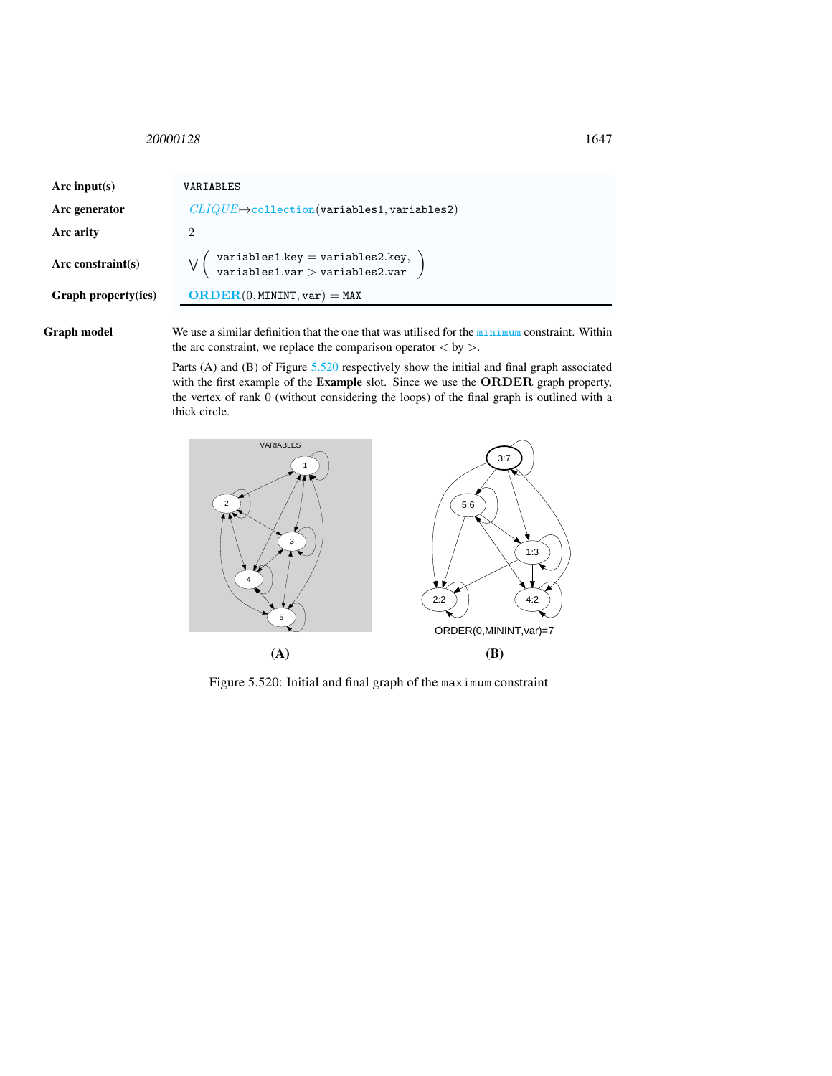<span id="page-5-0"></span><sup>20000128</sup> 1647

| Arc input(s)        | VARIABLES                                                           |
|---------------------|---------------------------------------------------------------------|
| Arc generator       | $CLIQUE \rightarrow$ collection(variables1, variables2)             |
| Arc arity           | 2                                                                   |
| $Arc$ constraint(s) | variables1.key = variables2.key,<br>variables1.var > variables2.var |
| Graph property(ies) | $\mathbf{ORDER}(0, \text{MININT}, \text{var}) = \text{MAX}$         |
|                     |                                                                     |

Graph model We use a similar definition that the one that was utilised for the minimum constraint. Within the arc constraint, we replace the comparison operator  $\langle$  by  $\rangle$ .

> Parts (A) and (B) of Figure [5.520](#page-5-1) respectively show the initial and final graph associated with the first example of the **Example** slot. Since we use the **ORDER** graph property, the vertex of rank 0 (without considering the loops) of the final graph is outlined with a thick circle.



<span id="page-5-1"></span>Figure 5.520: Initial and final graph of the maximum constraint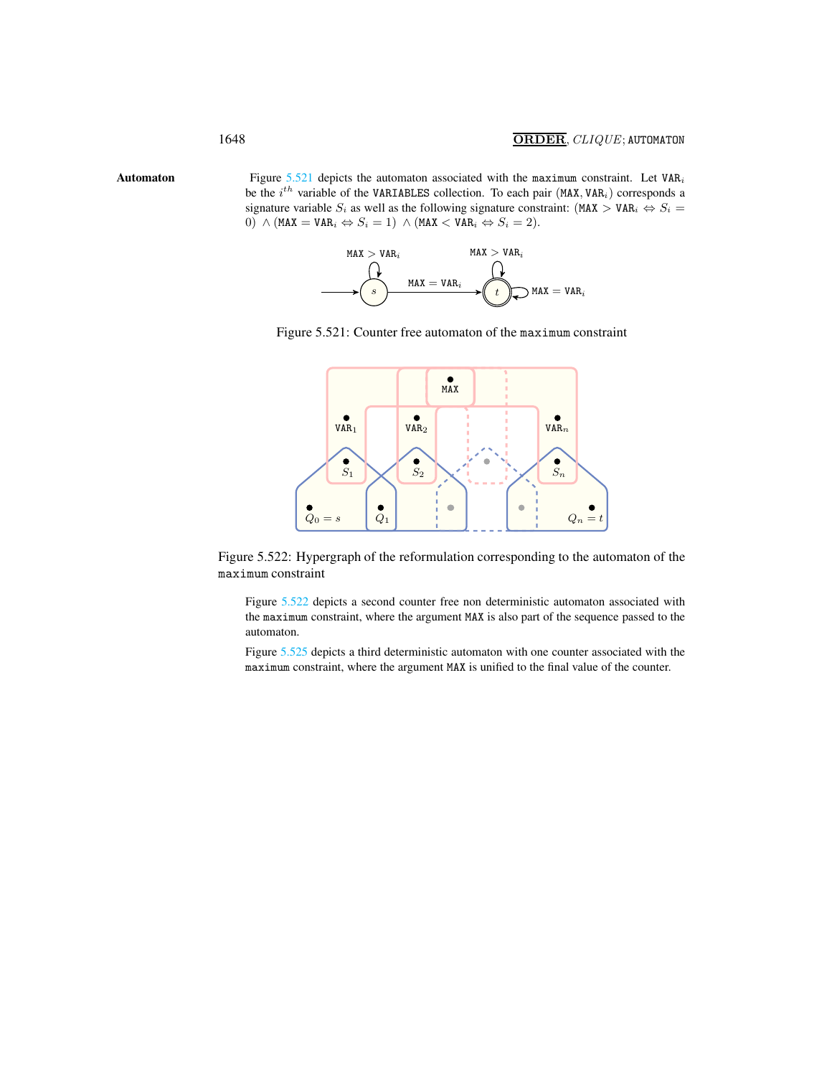Automaton Figure  $5.521$  depicts the automaton associated with the maximum constraint. Let VAR<sub>i</sub> be the  $i^{th}$  variable of the VARIABLES collection. To each pair (MAX, VAR<sub>i</sub>) corresponds a signature variable  $S_i$  as well as the following signature constraint: (MAX > VAR<sub>i</sub>  $\Leftrightarrow$   $S_i$  =  $0) \wedge (MAX = VAR_i \Leftrightarrow S_i = 1) \wedge (MAX < VAR_i \Leftrightarrow S_i = 2).$ 

<span id="page-6-0"></span>



<span id="page-6-1"></span>

Figure 5.522: Hypergraph of the reformulation corresponding to the automaton of the maximum constraint

<span id="page-6-2"></span>Figure [5.522](#page-6-2) depicts a second counter free non deterministic automaton associated with the maximum constraint, where the argument MAX is also part of the sequence passed to the automaton.

Figure [5.525](#page-7-0) depicts a third deterministic automaton with one counter associated with the maximum constraint, where the argument MAX is unified to the final value of the counter.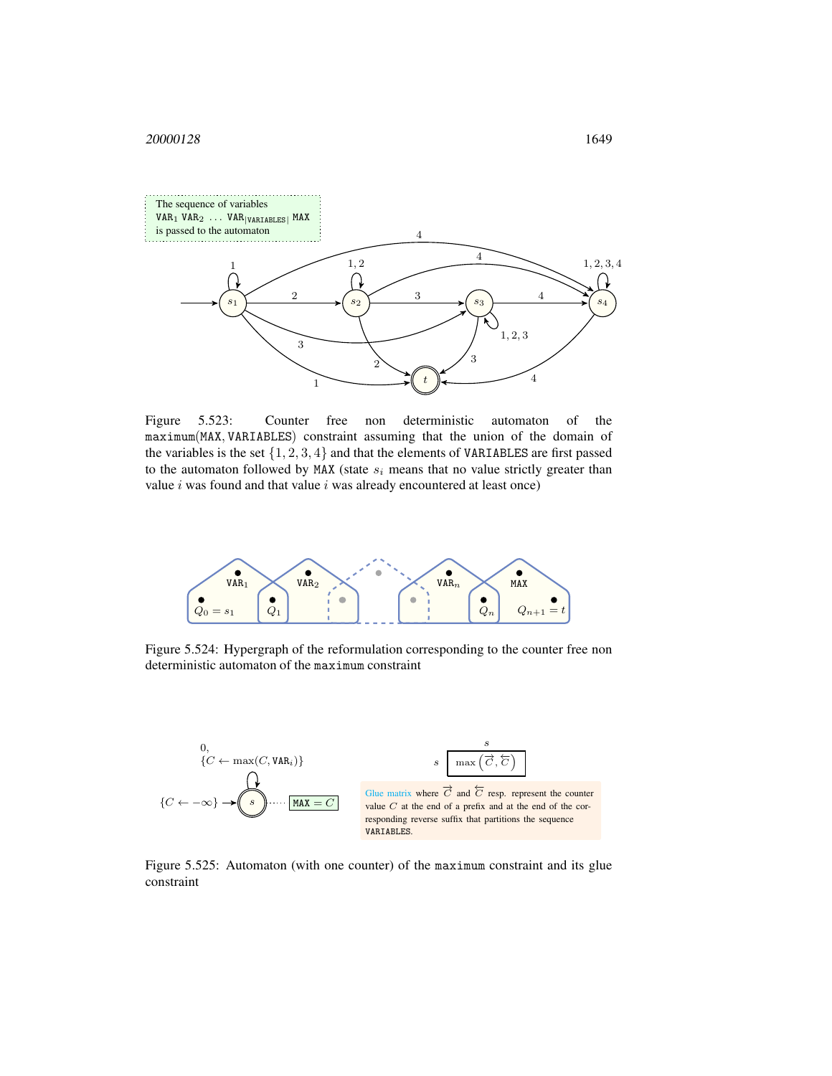

Figure 5.523: Counter free non deterministic automaton of the maximum(MAX, VARIABLES) constraint assuming that the union of the domain of the variables is the set  $\{1, 2, 3, 4\}$  and that the elements of VARIABLES are first passed to the automaton followed by MAX (state  $s_i$  means that no value strictly greater than value  $i$  was found and that value  $i$  was already encountered at least once)



Figure 5.524: Hypergraph of the reformulation corresponding to the counter free non deterministic automaton of the maximum constraint



<span id="page-7-0"></span>Figure 5.525: Automaton (with one counter) of the maximum constraint and its glue constraint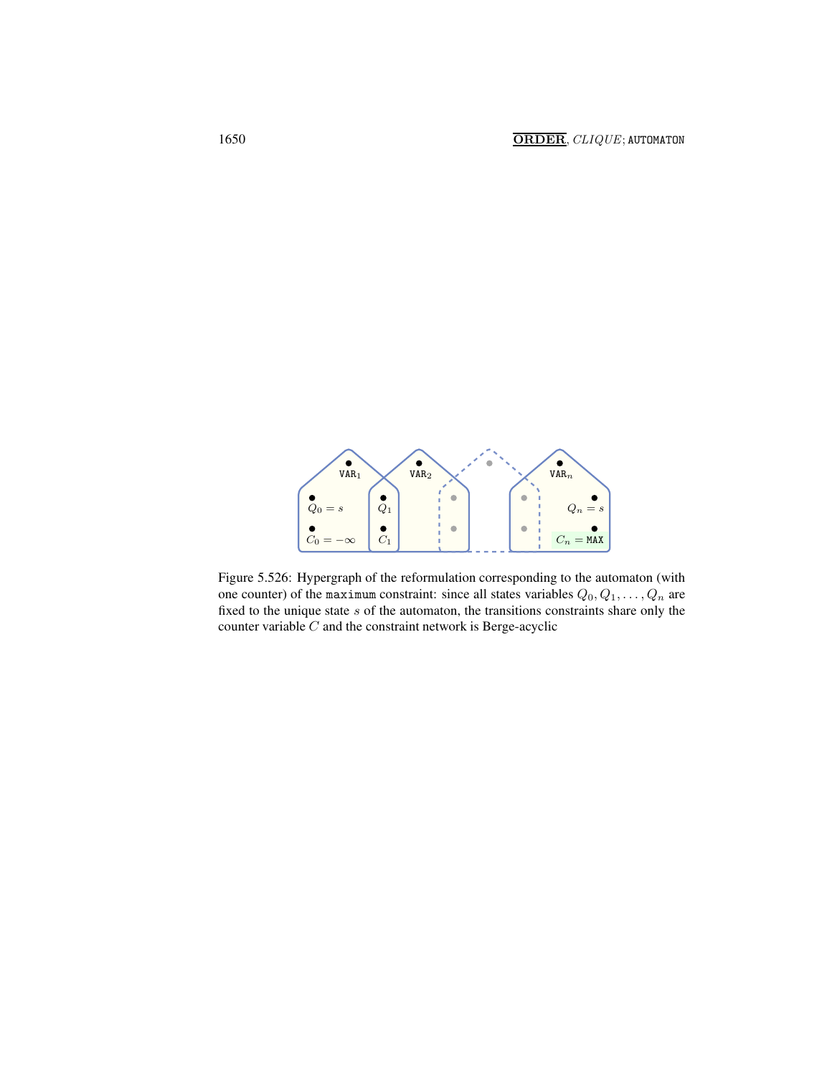

Figure 5.526: Hypergraph of the reformulation corresponding to the automaton (with one counter) of the maximum constraint: since all states variables  $Q_0, Q_1, \ldots, Q_n$  are fixed to the unique state  $s$  of the automaton, the transitions constraints share only the counter variable  $C$  and the constraint network is Berge-acyclic